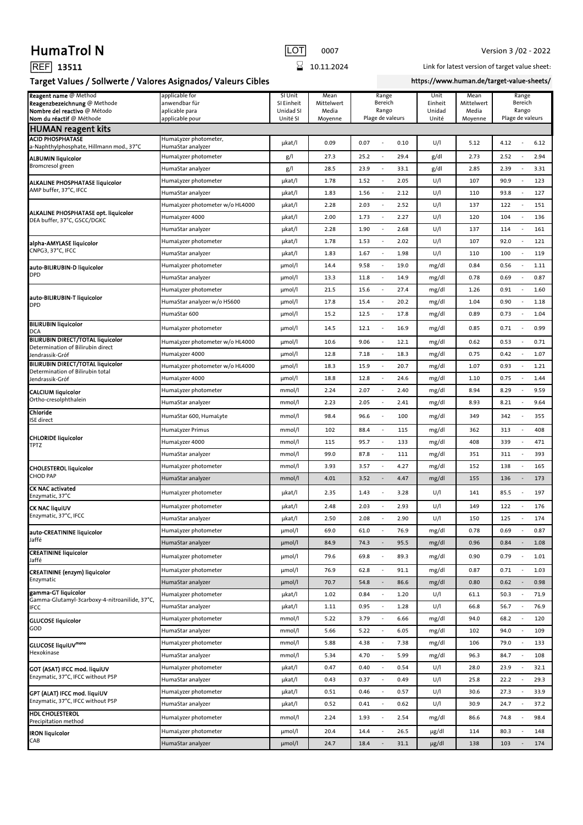## HumaTrol N **International COT** 0007 Version 3 /02 - 2022

| ш<br>໋ | . .<br>т.<br>. . |
|--------|------------------|
|        |                  |

Target Values / Sollwerte / Valores Asignados/ Valeurs Cibles

 $\overline{8}$  10.11.2024

Link for latest version of target value sheet:

https://www.human.de/target-value-sheets/

| -סי<br>$\frac{1}{2}$ . The same of $\frac{1}{2}$ is the same of $\frac{1}{2}$         |                                                   |                                    |                             |                                          |                           |                             |                                          |  |
|---------------------------------------------------------------------------------------|---------------------------------------------------|------------------------------------|-----------------------------|------------------------------------------|---------------------------|-----------------------------|------------------------------------------|--|
| Reagent name @ Method<br>Reagenzbezeichnung @ Methode<br>Nombre del reactivo @ Método | applicable for<br>anwendbar für<br>aplicable para | SI Unit<br>SI Einheit<br>Unidad SI | Mean<br>Mittelwert<br>Media | Range<br>Bereich<br>Rango                | Unit<br>Einheit<br>Unidad | Mean<br>Mittelwert<br>Media | Range<br>Bereich<br>Rango                |  |
| Nom du réactif @ Méthode                                                              | applicable pour                                   | Unité SI                           | Moyenne                     | Plage de valeurs                         | Unité                     | Moyenne                     | Plage de valeurs                         |  |
| HUMAN reagent kits                                                                    |                                                   |                                    |                             |                                          |                           |                             |                                          |  |
| <b>ACID PHOSPHATASE</b><br>a-Naphthylphosphate, Hillmann mod., 37°C                   | HumaLyzer photometer,<br>HumaStar analyzer        | µkat/l                             | 0.09                        | 0.07<br>0.10                             | U/I                       | 5.12                        | 4.12<br>6.12                             |  |
| <b>ALBUMIN liquicolor</b><br>Bromcresol green                                         | HumaLyzer photometer                              | g/l                                | 27.3                        | 25.2<br>29.4<br>$\overline{\phantom{a}}$ | g/dl                      | 2.73                        | 2.52<br>2.94                             |  |
|                                                                                       | HumaStar analyzer                                 | g/                                 | 28.5                        | 23.9<br>$\overline{a}$<br>33.1           | g/dl                      | 2.85                        | 2.39<br>3.31                             |  |
| <b>ALKALINE PHOSPHATASE liquicolor</b><br>AMP buffer, 37°C, IFCC                      | HumaLyzer photometer                              | µkat/l                             | 1.78                        | 1.52<br>2.05<br>$\overline{a}$           | U/I                       | 107                         | 90.9<br>123                              |  |
|                                                                                       | HumaStar analyzer                                 | µkat/l                             | 1.83                        | 1.56<br>2.12<br>÷                        | U/I                       | 110                         | 93.8<br>127                              |  |
| ALKALINE PHOSPHATASE opt. liquicolor<br>DEA buffer, 37°C, GSCC/DGKC                   | HumaLyzer photometer w/o HL4000                   | µkat/l                             | 2.28                        | 2.03<br>2.52<br>÷                        | U/I                       | 137                         | 122<br>151                               |  |
|                                                                                       | HumaLyzer 4000                                    | µkat/l                             | 2.00                        | 1.73<br>2.27<br>$\overline{\phantom{a}}$ | U/I                       | 120                         | 104<br>136                               |  |
|                                                                                       | HumaStar analyzer                                 | µkat/l                             | 2.28                        | 2.68<br>1.90<br>$\overline{a}$           | U/I                       | 137                         | 114<br>161                               |  |
| alpha-AMYLASE liquicolor                                                              | HumaLyzer photometer                              | µkat/l                             | 1.78                        | 2.02<br>1.53<br>÷                        | U/I                       | 107                         | 92.0<br>121                              |  |
| CNPG3, 37°C, IFCC                                                                     | HumaStar analyzer                                 | µkat/l                             | 1.83                        | 1.67<br>1.98<br>÷                        | U/I                       | 110                         | 100<br>119                               |  |
| auto-BILIRUBIN-D liquicolor<br><b>DPD</b>                                             | HumaLyzer photometer                              | µmol/l                             | 14.4                        | 9.58<br>19.0<br>Ĭ.                       | mg/dl                     | 0.84                        | 0.56<br>1.11                             |  |
|                                                                                       | HumaStar analyzer                                 | $\mu$ mol/l                        | 13.3                        | 14.9<br>11.8<br>$\overline{a}$           | mg/dl                     | 0.78                        | 0.69<br>0.87                             |  |
|                                                                                       | HumaLyzer photometer                              | $\mu$ mol/l                        | 21.5                        | 27.4<br>15.6<br>$\overline{\phantom{a}}$ | mg/dl                     | 1.26                        | 0.91<br>1.60                             |  |
| auto-BILIRUBIN-T liquicolor<br><b>DPD</b>                                             | HumaStar analyzer w/o HS600                       | $\mu$ mol/l                        | 17.8                        | 15.4<br>20.2<br>$\overline{\phantom{a}}$ | mg/dl                     | 1.04                        | 0.90<br>1.18                             |  |
|                                                                                       | HumaStar 600                                      | µmol/l                             | 15.2                        | 12.5<br>$\overline{\phantom{a}}$<br>17.8 | mg/dl                     | 0.89                        | 0.73<br>1.04                             |  |
| <b>BILIRUBIN liquicolor</b><br><b>DCA</b>                                             | HumaLyzer photometer                              | $\mu$ mol/l                        | 14.5                        | 16.9<br>12.1<br>÷                        | mg/dl                     | 0.85                        | 0.71<br>0.99                             |  |
| <b>BILIRUBIN DIRECT/TOTAL liquicolor</b><br>Determination of Bilirubin direct         | HumaLyzer photometer w/o HL4000                   | µmol/l                             | 10.6                        | 9.06<br>12.1<br>÷                        | mg/dl                     | 0.62                        | 0.53<br>0.71                             |  |
| Jendrassik-Gróf                                                                       | HumaLyzer 4000                                    | µmol/l                             | 12.8                        | 7.18<br>18.3<br>Ĭ.                       | mg/dl                     | 0.75                        | 0.42<br>1.07                             |  |
| <b>BILIRUBIN DIRECT/TOTAL liquicolor</b><br>Determination of Bilirubin total          | HumaLyzer photometer w/o HL4000                   | µmol/l                             | 18.3                        | 20.7<br>15.9<br>÷                        | mg/dl                     | 1.07                        | 0.93<br>1.21                             |  |
| Jendrassik-Gróf                                                                       | HumaLyzer 4000                                    | $\mu$ mol/l                        | 18.8                        | 12.8<br>24.6<br>÷                        | mg/dl                     | 1.10                        | 0.75<br>1.44                             |  |
| <b>CALCIUM liquicolor</b>                                                             | HumaLyzer photometer                              | mmol/l                             | 2.24                        | 2.07<br>2.40<br>$\overline{\phantom{a}}$ | mg/dl                     | 8.94                        | 8.29<br>9.59                             |  |
| Ortho-cresolphthalein                                                                 | HumaStar analyzer                                 | mmol/l                             | 2.23                        | 2.05<br>2.41<br>$\overline{a}$           | mg/dl                     | 8.93                        | 8.21<br>9.64                             |  |
| Chloride<br><b>ISE</b> direct                                                         | HumaStar 600, HumaLyte                            | mmol/l                             | 98.4                        | 100<br>96.6<br>Ĭ.                        | mg/dl                     | 349                         | 342<br>355                               |  |
|                                                                                       | HumaLyzer Primus                                  | mmol/l                             | 102                         | 88.4<br>115<br>÷                         | mg/dl                     | 362                         | 313<br>408                               |  |
| <b>CHLORIDE liquicolor</b><br>TPTZ                                                    | HumaLyzer 4000                                    | mmol/l                             | 115                         | 95.7<br>133<br>÷                         | mg/dl                     | 408                         | 339<br>471                               |  |
|                                                                                       | HumaStar analyzer                                 | mmol/l                             | 99.0                        | 111<br>87.8<br>$\overline{a}$            | mg/dl                     | 351                         | 311<br>393                               |  |
| <b>CHOLESTEROL liquicolor</b>                                                         | HumaLyzer photometer                              | mmol/l                             | 3.93                        | 3.57<br>4.27<br>$\overline{\phantom{a}}$ | mg/dl                     | 152                         | 138<br>165                               |  |
| <b>CHOD PAP</b>                                                                       | HumaStar analyzer                                 | mmol/l                             | 4.01                        | 3.52<br>4.47<br>$\overline{\phantom{a}}$ | mg/dl                     | 155                         | 136<br>173                               |  |
| <b>CK NAC activated</b><br>Enzymatic, 37°C                                            | HumaLyzer photometer                              | µkat/l                             | 2.35                        | 3.28<br>1.43<br>$\overline{a}$           | U/I                       | 141                         | 85.5<br>197                              |  |
| <b>CK NAC liquiUV</b>                                                                 | HumaLyzer photometer                              | µkat/l                             | 2.48                        | 2.03<br>2.93<br>÷                        | U/I                       | 149                         | 122<br>176                               |  |
| Enzymatic, 37°C, IFCC                                                                 | HumaStar analyzer                                 | µkat/l                             | 2.50                        | 2.90<br>2.08<br>$\overline{a}$           | U/I                       | 150                         | 174<br>125<br>J.                         |  |
| auto-CREATININE liquicolor                                                            | HumaLyzer photometer                              | µmol/l                             | 69.0                        | 61.0<br>76.9<br>÷                        | mg/dl                     | 0.78                        | 0.69<br>0.87<br>$\overline{\phantom{a}}$ |  |
| Jaffé                                                                                 | HumaStar analyzer                                 | µmol/l                             | 84.9                        | 74.3<br>95.5                             | mg/dl                     | 0.96                        | 0.84<br>1.08                             |  |
| <b>CREATININE liquicolor</b><br>Jaffé                                                 | HumaLyzer photometer                              | µmol/l                             | 79.6                        | 69.8<br>89.3<br>ł,                       | mg/dl                     | 0.90                        | 0.79<br>1.01                             |  |
| <b>CREATININE</b> (enzym) liquicolor                                                  | HumaLyzer photometer                              | µmol/l                             | 76.9                        | 62.8<br>91.1<br>$\overline{\phantom{a}}$ | mg/dl                     | 0.87                        | 0.71<br>1.03                             |  |
| Enzymatic                                                                             | HumaStar analyzer                                 | µmol/l                             | 70.7                        | 54.8<br>86.6<br>$\overline{a}$           | mg/dl                     | 0.80                        | 0.62<br>0.98                             |  |
| gamma-GT liquicolor<br>Gamma-Glutamyl-3carboxy-4-nitroanilide, 37°C,                  | HumaLyzer photometer                              | µkat/l                             | 1.02                        | 0.84<br>1.20<br>$\overline{\phantom{a}}$ | U/I                       | 61.1                        | 50.3<br>71.9                             |  |
| IFCC                                                                                  | HumaStar analyzer                                 | µkat/l                             | 1.11                        | 0.95<br>1.28<br>Ĭ.                       | U/I                       | 66.8                        | 56.7<br>76.9                             |  |
| <b>GLUCOSE liquicolor</b>                                                             | HumaLyzer photometer                              | mmol/l                             | 5.22                        | 3.79<br>6.66<br>$\overline{\phantom{a}}$ | mg/dl                     | 94.0                        | 120<br>68.2                              |  |
| GOD                                                                                   | HumaStar analyzer                                 | mmol/l                             | 5.66                        | 5.22<br>$\overline{\phantom{a}}$<br>6.05 | mg/dl                     | 102                         | 94.0<br>109                              |  |
| <b>GLUCOSE liquiUVmono</b>                                                            | HumaLyzer photometer                              | mmol/l                             | 5.88                        | 4.38<br>7.38<br>$\overline{a}$           | mg/dl                     | 106                         | 79.0<br>133<br>$\overline{a}$            |  |
| Hexokinase                                                                            | HumaStar analyzer                                 | mmol/l                             | 5.34                        | 4.70<br>$\overline{\phantom{a}}$<br>5.99 | mg/dl                     | 96.3                        | 84.7<br>108<br>$\overline{\phantom{a}}$  |  |
| <b>GOT (ASAT) IFCC mod. liquiUV</b><br>Enzymatic, 37°C, IFCC without P5P              | HumaLyzer photometer                              | µkat/l                             | 0.47                        | 0.54<br>0.40<br>$\overline{a}$           | U/I                       | 28.0                        | 23.9<br>32.1                             |  |
|                                                                                       | HumaStar analyzer                                 | µkat/l                             | 0.43                        | 0.37<br>0.49<br>$\overline{\phantom{a}}$ | U/I                       | 25.8                        | 22.2<br>29.3                             |  |
| GPT (ALAT) IFCC mod. liquiUV<br>Enzymatic, 37°C, IFCC without P5P                     | HumaLyzer photometer                              | µkat/l                             | 0.51                        | 0.46<br>0.57<br>$\overline{\phantom{a}}$ | U/I                       | 30.6                        | 27.3<br>33.9<br>$\overline{\phantom{a}}$ |  |
|                                                                                       | HumaStar analyzer                                 | µkat/l                             | 0.52                        | 0.41<br>$\overline{\phantom{a}}$<br>0.62 | U/I                       | 30.9                        | 24.7<br>37.2                             |  |
| <b>HDL CHOLESTEROL</b><br>Precipitation method                                        | HumaLyzer photometer                              | mmol/l                             | 2.24                        | 1.93<br>$\overline{\phantom{a}}$<br>2.54 | mg/dl                     | 86.6                        | 74.8<br>$\overline{\phantom{a}}$<br>98.4 |  |
| <b>IRON liquicolor</b>                                                                | HumaLyzer photometer                              | µmol/l                             | 20.4                        | 14.4<br>$\overline{\phantom{a}}$<br>26.5 | µg/dl                     | 114                         | 80.3<br>$\overline{\phantom{a}}$<br>148  |  |
| CAB                                                                                   | HumaStar analyzer                                 | µmol/l                             | 24.7                        | 18.4<br>31.1<br>÷                        | µg/dl                     | 138                         | 103<br>174                               |  |